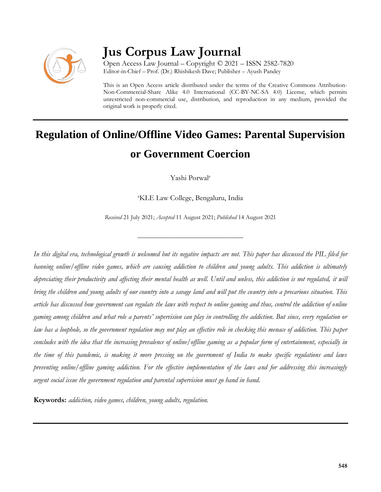

## **Jus Corpus Law Journal**

Open Access Law Journal – Copyright © 2021 – ISSN 2582-7820 Editor-in-Chief – Prof. (Dr.) Rhishikesh Dave; Publisher – Ayush Pandey

This is an Open Access article distributed under the terms of the Creative Commons Attribution-Non-Commercial-Share Alike 4.0 International (CC-BY-NC-SA 4.0) License, which permits unrestricted non-commercial use, distribution, and reproduction in any medium, provided the original work is properly cited.

# **Regulation of Online/Offline Video Games: Parental Supervision or Government Coercion**

Yashi Porwal<sup>a</sup>

<sup>a</sup>KLE Law College, Bengaluru, India

*Received* 21 July 2021; *Accepted* 11 August 2021; *Published* 14 August 2021

\_\_\_\_\_\_\_\_\_\_\_\_\_\_\_\_\_\_\_\_\_\_\_\_\_\_\_\_\_\_\_\_\_\_

*In this digital era, technological growth is welcomed but its negative impacts are not. This paper has discussed the PIL filed for banning online/offline video games, which are causing addiction to children and young adults. This addiction is ultimately depreciating their productivity and affecting their mental health as well. Until and unless, this addiction is not regulated, it will bring the children and young adults of our country into a savage land and will put the country into a precarious situation. This article has discussed how government can regulate the laws with respect to online gaming and thus, control the addiction of online gaming among children and what role a parents' supervision can play in controlling the addiction. But since, every regulation or law has a loophole, so the government regulation may not play an effective role in checking this menace of addiction. This paper concludes with the idea that the increasing prevalence of online/offline gaming as a popular form of entertainment, especially in the time of this pandemic, is making it more pressing on the government of India to make specific regulations and laws preventing online/offline gaming addiction. For the effective implementation of the laws and for addressing this increasingly urgent social issue the government regulation and parental supervision must go hand in hand.*

**Keywords:** *addiction, video games, children, young adults, regulation.*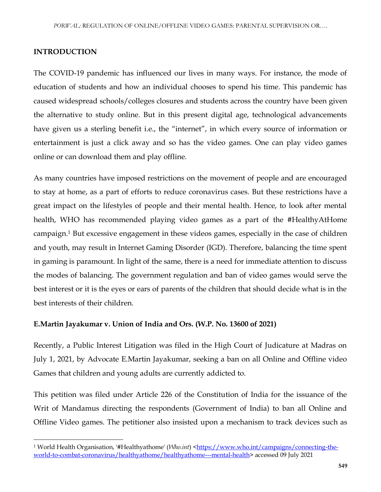### **INTRODUCTION**

 $\overline{\phantom{a}}$ 

The COVID-19 pandemic has influenced our lives in many ways. For instance, the mode of education of students and how an individual chooses to spend his time. This pandemic has caused widespread schools/colleges closures and students across the country have been given the alternative to study online. But in this present digital age, technological advancements have given us a sterling benefit i.e., the "internet", in which every source of information or entertainment is just a click away and so has the video games. One can play video games online or can download them and play offline.

As many countries have imposed restrictions on the movement of people and are encouraged to stay at home, as a part of efforts to reduce coronavirus cases. But these restrictions have a great impact on the lifestyles of people and their mental health. Hence, to look after mental health, WHO has recommended playing video games as a part of the #HealthyAtHome campaign.<sup>1</sup> But excessive engagement in these videos games, especially in the case of children and youth, may result in Internet Gaming Disorder (IGD). Therefore, balancing the time spent in gaming is paramount. In light of the same, there is a need for immediate attention to discuss the modes of balancing. The government regulation and ban of video games would serve the best interest or it is the eyes or ears of parents of the children that should decide what is in the best interests of their children.

#### **E.Martin Jayakumar v. Union of India and Ors. (W.P. No. 13600 of 2021)**

Recently, a Public Interest Litigation was filed in the High Court of Judicature at Madras on July 1, 2021, by Advocate E.Martin Jayakumar, seeking a ban on all Online and Offline video Games that children and young adults are currently addicted to.

This petition was filed under Article 226 of the Constitution of India for the issuance of the Writ of Mandamus directing the respondents (Government of India) to ban all Online and Offline Video games. The petitioner also insisted upon a mechanism to track devices such as

<sup>&</sup>lt;sup>1</sup> World Health Organisation, '#Healthyathome' (*Who.int*) [<https://www.who.int/campaigns/connecting-the](https://www.who.int/campaigns/connecting-the-world-to-combat-coronavirus/healthyathome/healthyathome---mental-health)[world-to-combat-coronavirus/healthyathome/healthyathome---mental-health>](https://www.who.int/campaigns/connecting-the-world-to-combat-coronavirus/healthyathome/healthyathome---mental-health) accessed 09 July 2021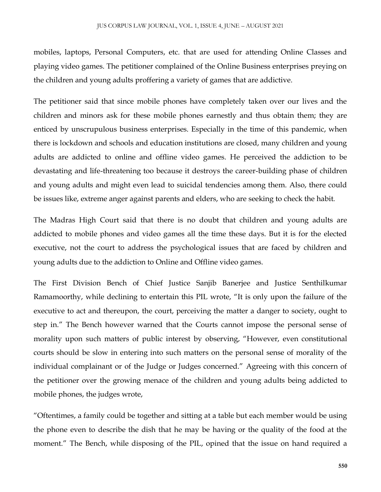mobiles, laptops, Personal Computers, etc. that are used for attending Online Classes and playing video games. The petitioner complained of the Online Business enterprises preying on the children and young adults proffering a variety of games that are addictive.

The petitioner said that since mobile phones have completely taken over our lives and the children and minors ask for these mobile phones earnestly and thus obtain them; they are enticed by unscrupulous business enterprises. Especially in the time of this pandemic, when there is lockdown and schools and education institutions are closed, many children and young adults are addicted to online and offline video games. He perceived the addiction to be devastating and life-threatening too because it destroys the career-building phase of children and young adults and might even lead to suicidal tendencies among them. Also, there could be issues like, extreme anger against parents and elders, who are seeking to check the habit.

The Madras High Court said that there is no doubt that children and young adults are addicted to mobile phones and video games all the time these days. But it is for the elected executive, not the court to address the psychological issues that are faced by children and young adults due to the addiction to Online and Offline video games.

The First Division Bench of Chief Justice Sanjib Banerjee and Justice Senthilkumar Ramamoorthy, while declining to entertain this PIL wrote, "It is only upon the failure of the executive to act and thereupon, the court, perceiving the matter a danger to society, ought to step in." The Bench however warned that the Courts cannot impose the personal sense of morality upon such matters of public interest by observing, "However, even constitutional courts should be slow in entering into such matters on the personal sense of morality of the individual complainant or of the Judge or Judges concerned." Agreeing with this concern of the petitioner over the growing menace of the children and young adults being addicted to mobile phones, the judges wrote,

"Oftentimes, a family could be together and sitting at a table but each member would be using the phone even to describe the dish that he may be having or the quality of the food at the moment." The Bench, while disposing of the PIL, opined that the issue on hand required a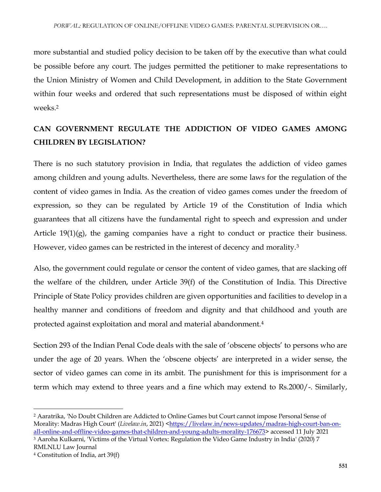more substantial and studied policy decision to be taken off by the executive than what could be possible before any court. The judges permitted the petitioner to make representations to the Union Ministry of Women and Child Development, in addition to the State Government within four weeks and ordered that such representations must be disposed of within eight weeks.<sup>2</sup>

## **CAN GOVERNMENT REGULATE THE ADDICTION OF VIDEO GAMES AMONG CHILDREN BY LEGISLATION?**

There is no such statutory provision in India, that regulates the addiction of video games among children and young adults. Nevertheless, there are some laws for the regulation of the content of video games in India. As the creation of video games comes under the freedom of expression, so they can be regulated by Article 19 of the Constitution of India which guarantees that all citizens have the fundamental right to speech and expression and under Article 19(1)(g), the gaming companies have a right to conduct or practice their business. However, video games can be restricted in the interest of decency and morality.<sup>3</sup>

Also, the government could regulate or censor the content of video games, that are slacking off the welfare of the children, under Article 39(f) of the Constitution of India. This Directive Principle of State Policy provides children are given opportunities and facilities to develop in a healthy manner and conditions of freedom and dignity and that childhood and youth are protected against exploitation and moral and material abandonment.<sup>4</sup>

Section 293 of the Indian Penal Code deals with the sale of 'obscene objects' to persons who are under the age of 20 years. When the 'obscene objects' are interpreted in a wider sense, the sector of video games can come in its ambit. The punishment for this is imprisonment for a term which may extend to three years and a fine which may extend to Rs.2000/-. Similarly,

 $\overline{a}$ 

<sup>2</sup> Aaratrika, 'No Doubt Children are Addicted to Online Games but Court cannot impose Personal Sense of Morality: Madras High Court' (Livelaw.in, 2021) [<https://livelaw.in/news-updates/madras-high-court-ban-on](https://livelaw.in/news-updates/madras-high-court-ban-on-all-online-and-offline-video-games-that-children-and-young-adults-morality-176673)[all-online-and-offline-video-games-that-children-and-young-adults-morality-176673>](https://livelaw.in/news-updates/madras-high-court-ban-on-all-online-and-offline-video-games-that-children-and-young-adults-morality-176673) accessed 11 July 2021 <sup>3</sup> Aaroha Kulkarni, 'Victims of the Virtual Vortex: Regulation the Video Game Industry in India' (2020) 7 RMLNLU Law Journal

<sup>4</sup> Constitution of India, art 39(f)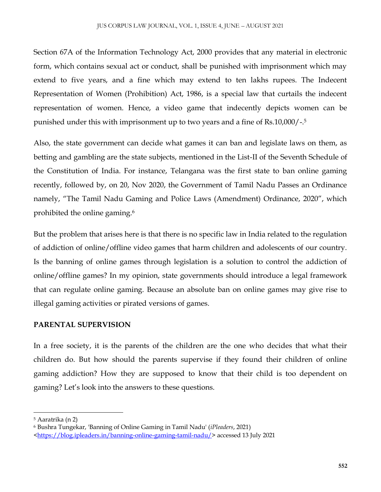Section 67A of the Information Technology Act, 2000 provides that any material in electronic form, which contains sexual act or conduct, shall be punished with imprisonment which may extend to five years, and a fine which may extend to ten lakhs rupees. The Indecent Representation of Women (Prohibition) Act, 1986, is a special law that curtails the indecent representation of women. Hence, a video game that indecently depicts women can be punished under this with imprisonment up to two years and a fine of Rs.10,000/-. 5

Also, the state government can decide what games it can ban and legislate laws on them, as betting and gambling are the state subjects, mentioned in the List-II of the Seventh Schedule of the Constitution of India. For instance, Telangana was the first state to ban online gaming recently, followed by, on 20, Nov 2020, the Government of Tamil Nadu Passes an Ordinance namely, "The Tamil Nadu Gaming and Police Laws (Amendment) Ordinance, 2020", which prohibited the online gaming.<sup>6</sup>

But the problem that arises here is that there is no specific law in India related to the regulation of addiction of online/offline video games that harm children and adolescents of our country. Is the banning of online games through legislation is a solution to control the addiction of online/offline games? In my opinion, state governments should introduce a legal framework that can regulate online gaming. Because an absolute ban on online games may give rise to illegal gaming activities or pirated versions of games.

## **PARENTAL SUPERVISION**

In a free society, it is the parents of the children are the one who decides that what their children do. But how should the parents supervise if they found their children of online gaming addiction? How they are supposed to know that their child is too dependent on gaming? Let's look into the answers to these questions.

 $\overline{a}$ 

<sup>5</sup> Aaratrika (n 2)

<sup>6</sup> Bushra Tungekar, 'Banning of Online Gaming in Tamil Nadu' (*iPleaders*, 2021) [<https://blog.ipleaders.in/banning-online-gaming-tamil-nadu/>](https://blog.ipleaders.in/banning-online-gaming-tamil-nadu/) accessed 13 July 2021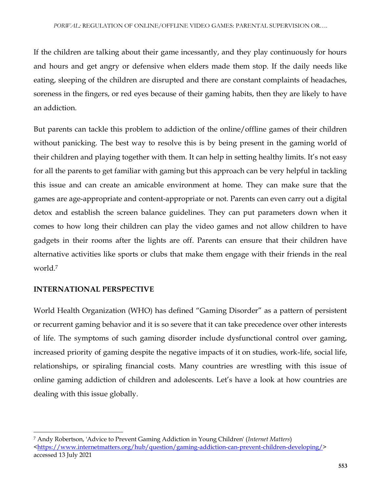If the children are talking about their game incessantly, and they play continuously for hours and hours and get angry or defensive when elders made them stop. If the daily needs like eating, sleeping of the children are disrupted and there are constant complaints of headaches, soreness in the fingers, or red eyes because of their gaming habits, then they are likely to have an addiction.

But parents can tackle this problem to addiction of the online/offline games of their children without panicking. The best way to resolve this is by being present in the gaming world of their children and playing together with them. It can help in setting healthy limits. It's not easy for all the parents to get familiar with gaming but this approach can be very helpful in tackling this issue and can create an amicable environment at home. They can make sure that the games are age-appropriate and content-appropriate or not. Parents can even carry out a digital detox and establish the screen balance guidelines. They can put parameters down when it comes to how long their children can play the video games and not allow children to have gadgets in their rooms after the lights are off. Parents can ensure that their children have alternative activities like sports or clubs that make them engage with their friends in the real world<sup>7</sup>

## **INTERNATIONAL PERSPECTIVE**

 $\overline{\phantom{a}}$ 

World Health Organization (WHO) has defined "Gaming Disorder" as a pattern of persistent or recurrent gaming behavior and it is so severe that it can take precedence over other interests of life. The symptoms of such gaming disorder include dysfunctional control over gaming, increased priority of gaming despite the negative impacts of it on studies, work-life, social life, relationships, or spiraling financial costs. Many countries are wrestling with this issue of online gaming addiction of children and adolescents. Let's have a look at how countries are dealing with this issue globally.

<sup>7</sup> Andy Robertson, 'Advice to Prevent Gaming Addiction in Young Children' (*Internet Matters*) [<https://www.internetmatters.org/hub/question/gaming-addiction-can-prevent-children-developing/>](https://www.internetmatters.org/hub/question/gaming-addiction-can-prevent-children-developing/) accessed 13 July 2021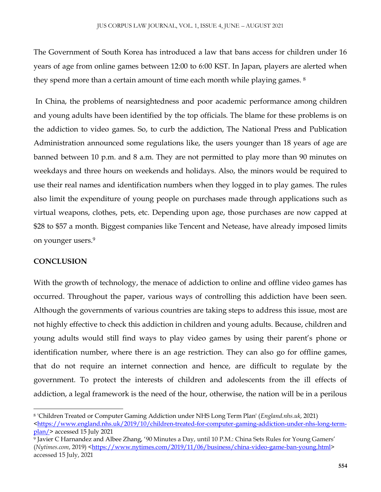The Government of South Korea has introduced a law that bans access for children under 16 years of age from online games between 12:00 to 6:00 KST. In Japan, players are alerted when they spend more than a certain amount of time each month while playing games. <sup>8</sup>

In China, the problems of nearsightedness and poor academic performance among children and young adults have been identified by the top officials. The blame for these problems is on the addiction to video games. So, to curb the addiction, The National Press and Publication Administration announced some regulations like, the users younger than 18 years of age are banned between 10 p.m. and 8 a.m. They are not permitted to play more than 90 minutes on weekdays and three hours on weekends and holidays. Also, the minors would be required to use their real names and identification numbers when they logged in to play games. The rules also limit the expenditure of young people on purchases made through applications such as virtual weapons, clothes, pets, etc. Depending upon age, those purchases are now capped at \$28 to \$57 a month. Biggest companies like Tencent and Netease, have already imposed limits on younger users.<sup>9</sup>

## **CONCLUSION**

 $\overline{a}$ 

With the growth of technology, the menace of addiction to online and offline video games has occurred. Throughout the paper, various ways of controlling this addiction have been seen. Although the governments of various countries are taking steps to address this issue, most are not highly effective to check this addiction in children and young adults. Because, children and young adults would still find ways to play video games by using their parent's phone or identification number, where there is an age restriction. They can also go for offline games, that do not require an internet connection and hence, are difficult to regulate by the government. To protect the interests of children and adolescents from the ill effects of addiction, a legal framework is the need of the hour, otherwise, the nation will be in a perilous

<sup>8</sup> 'Children Treated or Computer Gaming Addiction under NHS Long Term Plan' (*England.nhs.uk*, 2021) [<https://www.england.nhs.uk/2019/10/children-treated-for-computer-gaming-addiction-under-nhs-long-term](https://www.england.nhs.uk/2019/10/children-treated-for-computer-gaming-addiction-under-nhs-long-term-plan/)[plan/>](https://www.england.nhs.uk/2019/10/children-treated-for-computer-gaming-addiction-under-nhs-long-term-plan/) accessed 15 July 2021

<sup>9</sup> Javier C Harnandez and Albee Zhang, '90 Minutes a Day, until 10 P.M.: China Sets Rules for Young Gamers' (*Nytimes.com*, 2019) [<https://www.nytimes.com/2019/11/06/business/china-video-game-ban-young.html>](https://www.nytimes.com/2019/11/06/business/china-video-game-ban-young.html) accessed 15 July, 2021